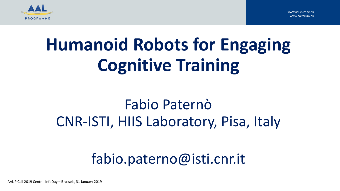



# **Humanoid Robots for Engaging Cognitive Training**

## Fabio Paternò CNR-ISTI, HIIS Laboratory, Pisa, Italy

## fabio.paterno@isti.cnr.it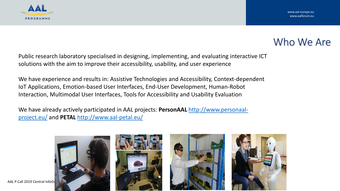

### Who We Are

Public research laboratory specialised in designing, implementing, and evaluating interactive ICT solutions with the aim to improve their accessibility, usability, and user experience

We have experience and results in: Assistive Technologies and Accessibility, Context-dependent IoT Applications, Emotion-based User Interfaces, End-User Development, Human-Robot Interaction, Multimodal User Interfaces, Tools for Accessibility and Usability Evaluation

We have already actively participated in AAL projects: **PersonAAL** http://www.personaalproject.eu/ and **PETAL** [http://www.aal-petal.eu/](http://www.personaal-project.eu/)

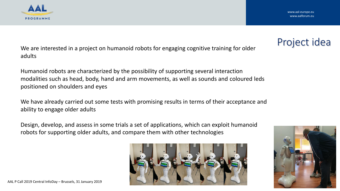

### Project idea

We are interested in a project on humanoid robots for engaging cognitive training for older adults

Humanoid robots are characterized by the possibility of supporting several interaction modalities such as head, body, hand and arm movements, as well as sounds and coloured leds positioned on shoulders and eyes

We have already carried out some tests with promising results in terms of their acceptance and ability to engage older adults

Design, develop, and assess in some trials a set of applications, which can exploit humanoid robots for supporting older adults, and compare them with other technologies